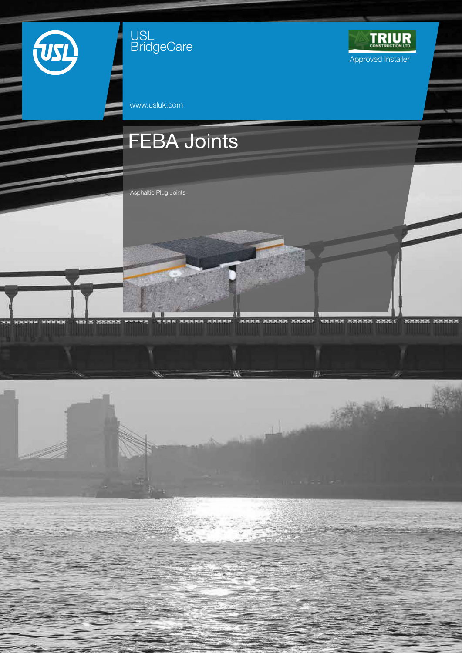

USL **BridgeCare** 



BERK SEBER SHARP VESSS SHARB SHALL HABES SHARP

д

www.usluk.com

# FEBA Joints

**MANN NHNHH** 

MANNE

Asphaltic Plug Joints

wwwwa

ON STREET

ж×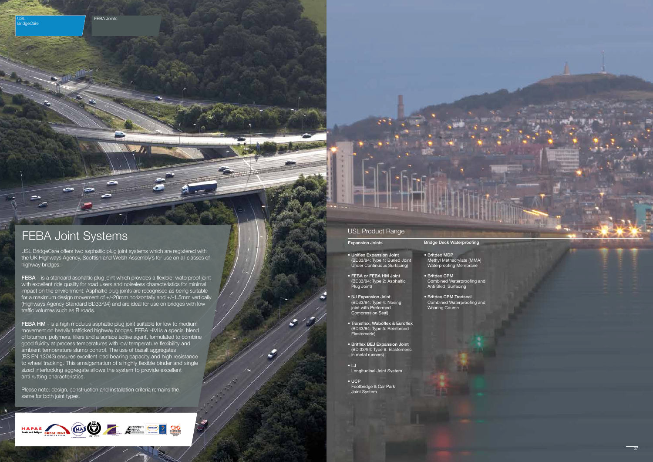FEBA Joints



 $\overline{\phantom{a}}$ 

USL **BridgeCare** 

> USL BridgeCare offers two asphaltic plug joint systems which are registered with the UK Highways Agency, Scottish and Welsh Assembly's for use on all classes of highway bridges:

FEBA – is a standard asphaltic plug joint which provides a flexible, waterproof joint with excellent ride quality for road users and noiseless characteristics for minimal impact on the environment. Asphaltic plug joints are recognised as being suitable for a maximum design movement of +/-20mm horizontally and +/-1.5mm vertically (Highways Agency Standard BD33/94) and are ideal for use on bridges with low traffic volumes such as B roads.

FEBA HM - is a high modulus asphaltic plug joint suitable for low to medium movement on heavily trafficked highway bridges. FEBA HM is a special blend of bitumen, polymers, fillers and a surface active agent, formulated to combine good fluidity at process temperatures with low temperature flexibility and ambient temperature slump control. The use of basalt aggregates (BS EN 13043) ensures excellent load bearing capacity and high resistance to wheel tracking. This amalgamation of a highly flexible binder and single sized interlocking aggregate allows the system to provide excellent anti rutting characteristics.

Please note: design, construction and installation criteria remains the same for both joint types.



#### USL Product Range

#### Expansion Joints

- Uniflex Expansion Joint (BD33/94: Type 1: Buried Joint Under Continuous Surfacing)
- FEBA or FEBA HM Joint (BD33/94: Type 2: Asphaltic Plug Joint)
- NJ Expansion Joint (BD33/94: Type 4: Nosing joint with Preformed Compression Seal)
- Transflex, Waboflex & Euroflex (BD33/94: Type 5: Reinforced Elastomeric)
- Britflex BEJ Expansion Joint (BD 33/94: Type 6: Elastomeric in metal runners)
- LJ Longitudinal Joint System
- UCP Footbridge & Car Park Joint System
- Bridge Deck Waterproofing
- Britdex MDP Methyl Methacrylate (MMA) Waterproofing Membrane
- Britdex CPM Combined Waterproofing and Anti Skid Surfacing
- Britdex CPM Tredseal Combined Waterproofing and Wearing Course

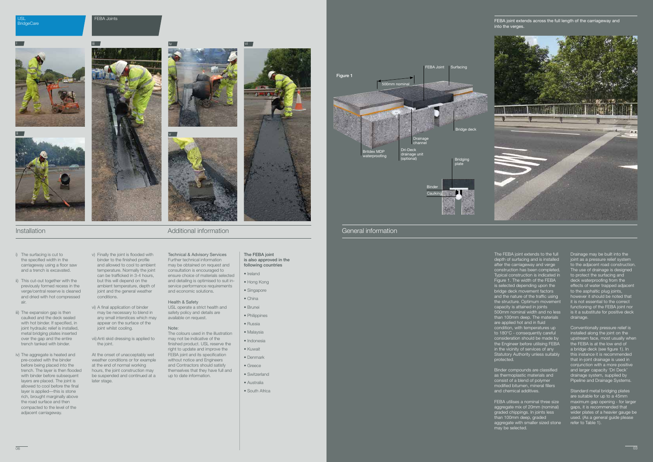General information

The FEBA joint extends to the full depth of surfacing and is installed after the carriageway and verge construction has been completed. Typical construction is indicated in Figure 1. The width of the FEBA is selected depending upon the bridge deck movement factors and the nature of the traffic using the structure. Optimum movement capacity is attained in joints 500mm nominal width and no less than 100mm deep. The materials are applied hot and in fluid condition, with temperatures up to 180°C - consequently careful consideration should be made by the Engineer before utilising FEBA in the vicinity of services of any Statutory Authority unless suitably protected.

Binder compounds are classified as thermoplastic materials and consist of a blend of polymer modified bitumen, mineral fillers and chemical additives.

FEBA utilises a nominal three size aggregate mix of 20mm (nominal) graded chippings. In joints less than 100mm deep, graded aggregate with smaller sized stone may be selected.

Drainage may be built into the joint as a pressure relief system to the adjacent road construction. The use of drainage is designed to protect the surfacing and deck waterproofing from the effects of water trapped adjacent to the asphaltic plug joints, however it should be noted that it is not essential to the correct functioning of the FEBA joint nor is it a substitute for positive deck drainage.

Conventionally pressure relief is installed along the joint on the upstream face, most usually when the FEBA is at the low end of a bridge deck (see figure 1). In this instance it is recommended that in-joint drainage is used in conjunction with a more positive and larger capacity 'Dri Deck' drainage system, supplied by Pipeline and Drainage Systems.

vi) A final application of binder may be necessary to blend in any small interstices which may appear on the surface of the ioint whilst cooling.

> Standard metal bridging plates are suitable for up to a 45mm maximum gap opening - for larger gaps, it is recommended that wider plates of a heavier gauge be used. (As a general guide please refer to Table 1).



#### USL **BridgeCare**

Installation

i) The surfacing is cut to the specified width in the carriageway using a floor saw and a trench is excavated.

ii) This cut-out together with the

FEBA joint extends across the full length of the carriageway and into the verges.

previously formed recess in the verge/central reserve is cleaned and dried with hot compressed

air.

iii) The expansion gap is then caulked and the deck sealed with hot binder. If specified, in ioint hydraulic relief is installed. metal bridging plates inserted over the gap and the entire trench tanked with binder.

iv) The aggregate is heated and pre-coated with the binder before being placed into the trench. The layer is then flooded with binder before subsequent layers are placed. The joint is allowed to cool before the final layer is applied—this is stone rich, brought marginally above the road surface and then compacted to the level of the adjacent carriageway.

can be trafficked in 3-4 hours, but this will depend on the ambient temperature, depth of joint and the general weather conditions.

v) Finally the joint is flooded with binder to the finished profile and allowed to cool to ambient temperature. Normally the joint Technical & Advisory Services Further technical information may be obtained on request and consultation is encouraged to ensure choice of materials selected

vii) Anti skid dressing is applied to the joint.

At the onset of unacceptably wet weather conditions or for example at the end of normal working hours, the joint construction may be suspended and continued at a later stage.

and detailing is optimised to suit inservice performance requirements and economic solutions.

Health & Safety

USL operate a strict health and safety policy and details are available on request.

Note:

The colours used in the illustration may not be indicative of the finished product. USL reserve the right to update and improve the FEBA joint and its specification without notice and Engineers and Contractors should satisfy themselves that they have full and

up to date information.

### FEBA Joints





## Additional information

The FEBA joint is also approved in the following countries

• Ireland

• Hong Kong

- Singapore
- China
- Brunei • Philippines
- Russia
- Malaysia
- Indonesia
- Kuwait
- Denmark
- Greece
- Switzerland
- Australia
- South Africa





ii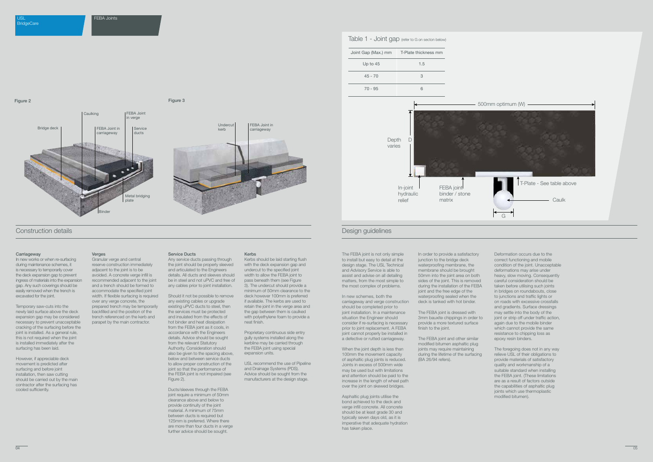

#### Design guidelines

The FEBA joint is not only simple to install but easy to detail at the design stage. The USL Technical and Advisory Service is able to assist and advise on all detailing matters, from the most simple to the most complex of problems.

In new schemes, both the carriageway and verge construction should be completed prior to joint installation. In a maintenance situation the Engineer should consider if re-surfacing is necessary prior to joint replacement. A FEBA joint cannot properly be installed in a defective or rutted carriageway.

The FEBA joint is dressed with 3mm bauxite chippings in order to provide a more textured surface finish to the joint.

When the joint depth is less than 100mm the movement capacity of asphaltic plug joints is reduced. Joints in excess of 500mm wide may be used but with limitations and attention should be paid to the increase in the length of wheel path over the joint on skewed bridges.

Asphaltic plug joints utilise the bond achieved to the deck and verge infill concrete. All concrete should be at least grade 30 and typically seven days old, as it is imperative that adequate hydration has taken place.

In order to provide a satisfactory junction to the bridge deck waterproofing membrane, the membrane should be brought 50mm into the joint area on both sides of the joint. This is removed during the installation of the FEBA joint and the free edge of the waterproofing sealed when the deck is tanked with hot binder.

In new works or when re-surfacing during maintenance schemes, it is necessary to temporarily cover the deck expansion gap to prevent ingress of materials into the expansion gap. Any such coverings should be easily removed when the trench is excavated for the joint.

Temporary saw-cuts into the newly laid surface above the deck expansion gap may be considered necessary to prevent unacceptable cracking of the surfacing before the joint is installed. As a general rule, this is not required when the joint is installed immediately after the surfacing has been laid.

The FEBA joint and other similar modified bitumen asphaltic plug joints may require maintaining during the lifetime of the surfacing (BA 26/94 refers).

Deformation occurs due to the correct functioning and mobile condition of the joint. Unacceptable deformations may arise under heavy, slow moving. Consequently careful consideration should be taken before utilising such joints in bridges on roundabouts, close to junctions and traffic lights or on roads with excessive crossfalls and gradients. Surface dressings may settle into the body of the joint or strip off under traffic action. again due to the mobile binder which cannot provide the same resistance to chipping loss as epoxy resin binders.

The foregoing does not in any way relieve USL of their obligations to provide materials of satisfactory quality and workmanship of a suitable standard when installing the FEBA joint. (These limitations are as a result of factors outside the capabilities of asphaltic plug joints which use thermoplastic modified bitumen).

#### Construction details

#### **Carriageway**

However, if appreciable deck movement is predicted after surfacing and before joint installation, then saw cutting should be carried out by the main contractor after the surfacing has cooled sufficiently.

#### **Verges**

Granular verge and central reserve construction immediately adjacent to the joint is to be avoided. A concrete verge infill is recommended adjacent to the joint and a trench should be formed to accommodate the specified joint width. If flexible surfacing is required over any verge concrete, the prepared trench may be temporarily backfilled and the position of the trench referenced on the kerb and parapet by the main contractor.

#### Service Ducts

Any service ducts passing through the joint should be properly sleeved and articulated to the Engineers details. All ducts and sleeves should be in steel and not uPVC and free of any cables prior to joint installation.

Should it not be possible to remove any existing cables or upgrade existing uPVC ducts to steel, then the services must be protected and insulated from the effects of hot binder and heat dissipation from the FEBA joint as it cools, in accordance with the Engineers details. Advice should be sought from the relevant Statutory Authority. Consideration should also be given to the spacing above, below and between service ducts to allow proper construction of the joint so that the performance of the FEBA joint is not impaired (see Figure 2).

Ducts/sleeves through the FEBA joint require a minimum of 50mm clearance above and below to provide continuity of the joint material. A minimum of 75mm between ducts is required but 125mm is preferred. Where there are more than four ducts in a verge further advice should be sought.

#### Kerbs

Kerbs should be laid starting flush with the deck expansion gap and undercut to the specified joint width to allow the FEBA joint to pass beneath them (see Figure 3). The undercut should provide a minimum of 50mm clearance to the deck however 100mm is preferred if available. The kerbs are used to retain the joint in the verge area and the gap between them is caulked with polyethylene foam to provide a neat finish.

Proprietary continuous side entry gully systems installed along the kerbline may be carried through the FEBA joint using special expansion units.

USL recommend the use of Pipeline and Drainage Systems (PDS). Advice should be sought from the manufacturers at the design stage.





| Joint Gap (Max.) mm | T-Plate thickness mm |
|---------------------|----------------------|
| Up to $45$          | 1.5                  |
| $45 - 70$           | 3                    |
| $70 - 95$           | ิค                   |

#### Table 1 - Joint gap (refer to G on secton below)

| m optimum (W)                           |  |  |
|-----------------------------------------|--|--|
|                                         |  |  |
| T-Plate - See table above<br>Caulk<br>Э |  |  |
|                                         |  |  |